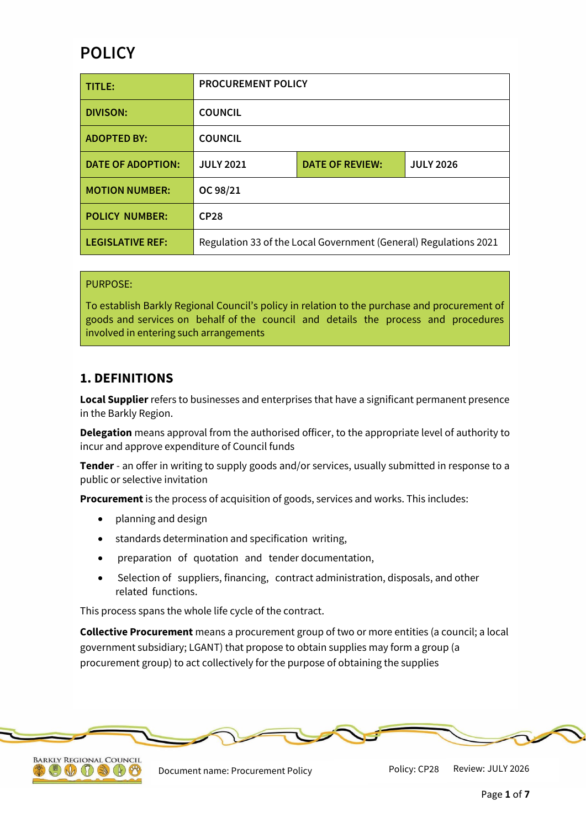# **POLICY**

| TITLE:                   | <b>PROCUREMENT POLICY</b>                                        |                        |                  |
|--------------------------|------------------------------------------------------------------|------------------------|------------------|
| <b>DIVISON:</b>          | <b>COUNCIL</b>                                                   |                        |                  |
| <b>ADOPTED BY:</b>       | <b>COUNCIL</b>                                                   |                        |                  |
| <b>DATE OF ADOPTION:</b> | <b>JULY 2021</b>                                                 | <b>DATE OF REVIEW:</b> | <b>JULY 2026</b> |
| <b>MOTION NUMBER:</b>    | OC 98/21                                                         |                        |                  |
| <b>POLICY NUMBER:</b>    | CP <sub>28</sub>                                                 |                        |                  |
| <b>LEGISLATIVE REF:</b>  | Regulation 33 of the Local Government (General) Regulations 2021 |                        |                  |

#### PURPOSE:

To establish Barkly Regional Council's policy in relation to the purchase and procurement of goods and services on behalf of the council and details the process and procedures involved in entering such arrangements

### **1. DEFINITIONS**

**Local Supplier** refers to businesses and enterprises that have a significant permanent presence in the Barkly Region.

**Delegation** means approval from the authorised officer, to the appropriate level of authority to incur and approve expenditure of Council funds

**Tender** - an offer in writing to supply goods and/or services, usually submitted in response to a public or selective invitation

**Procurement** is the process of acquisition of goods, services and works. This includes:

- planning and design
- standards determination and specification writing,
- preparation of quotation and tender documentation,
- Selection of suppliers, financing, contract administration, disposals, and other related functions.

This process spans the whole life cycle of the contract.

**Collective Procurement** means a procurement group of two or more entities (a council; a local government subsidiary; LGANT) that propose to obtain supplies may form a group (a procurement group) to act collectively for the purpose of obtaining the supplies





Document name: Procurement Policy Policy: CP28 Review: JULY 2026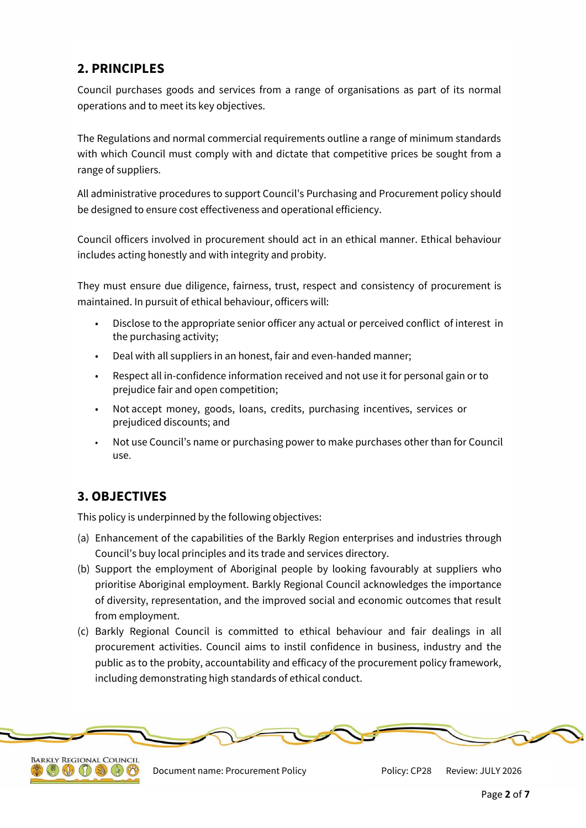# **2. PRINCIPLES**

Council purchases goods and services from a range of organisations as part of its normal operations and to meet its key objectives.

The Regulations and normal commercial requirements outline a range of minimum standards with which Council must comply with and dictate that competitive prices be sought from a range of suppliers.

All administrative procedures to support Council's Purchasing and Procurement policy should be designed to ensure cost effectiveness and operational efficiency.

Council officers involved in procurement should act in an ethical manner. Ethical behaviour includes acting honestly and with integrity and probity.

They must ensure due diligence, fairness, trust, respect and consistency of procurement is maintained. In pursuit of ethical behaviour, officers will:

- Disclose to the appropriate senior officer any actual or perceived conflict of interest in the purchasing activity;
- Deal with all suppliers in an honest, fair and even-handed manner;
- Respect all in-confidence information received and not use it for personal gain or to prejudice fair and open competition;
- Not accept money, goods, loans, credits, purchasing incentives, services or prejudiced discounts; and
- Not use Council's name or purchasing power to make purchases other than for Council use.

# **3. OBJECTIVES**

This policy is underpinned by the following objectives:

- (a) Enhancement of the capabilities of the Barkly Region enterprises and industries through Council's buy local principles and its trade and services directory.
- (b) Support the employment of Aboriginal people by looking favourably at suppliers who prioritise Aboriginal employment. Barkly Regional Council acknowledges the importance of diversity, representation, and the improved social and economic outcomes that result from employment.
- (c) Barkly Regional Council is committed to ethical behaviour and fair dealings in all procurement activities. Council aims to instil confidence in business, industry and the public as to the probity, accountability and efficacy of the procurement policy framework, including demonstrating high standards of ethical conduct.





Document name: Procurement Policy Policy: CP28 Review: JULY 2026

Policy: CP28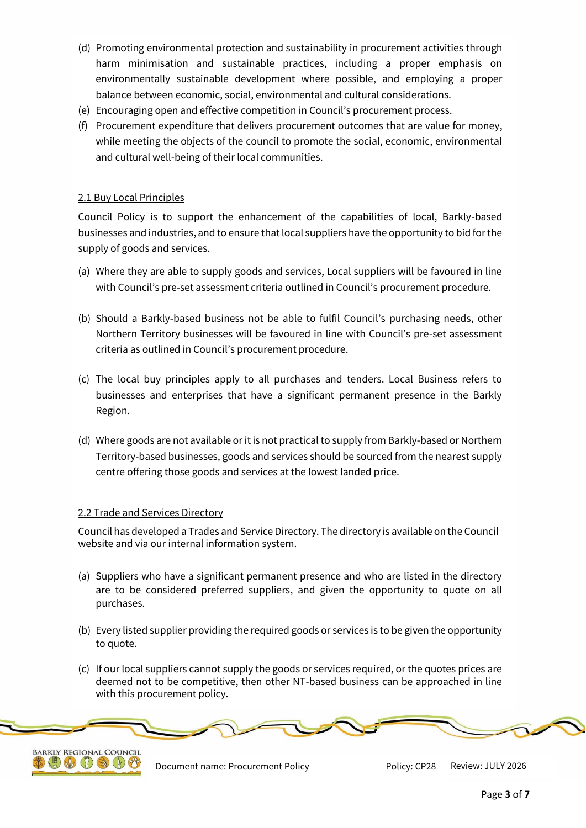- (d) Promoting environmental protection and sustainability in procurement activities through harm minimisation and sustainable practices, including a proper emphasis on environmentally sustainable development where possible, and employing a proper balance between economic, social, environmental and cultural considerations.
- (e) Encouraging open and effective competition in Council's procurement process.
- (f) Procurement expenditure that delivers procurement outcomes that are value for money, while meeting the objects of the council to promote the social, economic, environmental and cultural well-being of their local communities.

### 2.1 Buy Local Principles

Council Policy is to support the enhancement of the capabilities of local, Barkly-based businesses and industries, and to ensure that local suppliers have the opportunity to bid for the supply of goods and services.

- (a) Where they are able to supply goods and services, Local suppliers will be favoured in line with Council's pre-set assessment criteria outlined in Council's procurement procedure.
- (b) Should a Barkly-based business not be able to fulfil Council's purchasing needs, other Northern Territory businesses will be favoured in line with Council's pre-set assessment criteria as outlined in Council's procurement procedure.
- (c) The local buy principles apply to all purchases and tenders. Local Business refers to businesses and enterprises that have a significant permanent presence in the Barkly Region.
- (d) Where goods are not available or it is not practical to supply from Barkly-based or Northern Territory-based businesses, goods and services should be sourced from the nearest supply centre offering those goods and services at the lowest landed price.

### 2.2 Trade and Services Directory

Council has developed a Trades and Service Directory. The directory is available on the Council website and via our internal information system.

- (a) Suppliers who have a significant permanent presence and who are listed in the directory are to be considered preferred suppliers, and given the opportunity to quote on all purchases.
- (b) Every listed supplier providing the required goods or services is to be given the opportunity to quote.
- (c) If our local suppliers cannot supply the goods or services required, or the quotes prices are deemed not to be competitive, then other NT-based business can be approached in line with this procurement policy.





Document name: Procurement Policy **Review: COVID Policy: CP28** Review: JULY 2026

Policy: CP28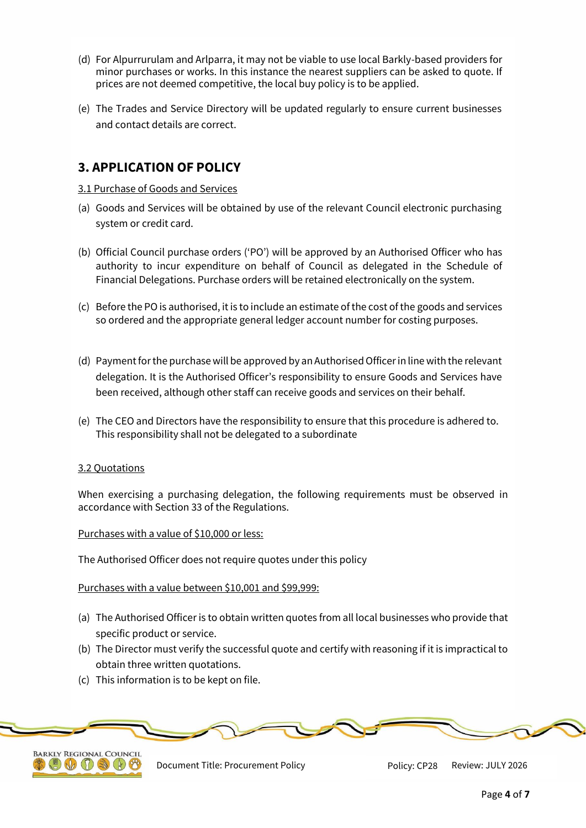- (d) For Alpurrurulam and Arlparra, it may not be viable to use local Barkly-based providers for minor purchases or works. In this instance the nearest suppliers can be asked to quote. If prices are not deemed competitive, the local buy policy is to be applied.
- (e) The Trades and Service Directory will be updated regularly to ensure current businesses and contact details are correct.

# **3. APPLICATION OF POLICY**

### 3.1 Purchase of Goods and Services

- (a) Goods and Services will be obtained by use of the relevant Council electronic purchasing system or credit card.
- (b) Official Council purchase orders ('PO') will be approved by an Authorised Officer who has authority to incur expenditure on behalf of Council as delegated in the Schedule of Financial Delegations. Purchase orders will be retained electronically on the system.
- (c) Before the PO is authorised, it is to include an estimate of the cost of the goods and services so ordered and the appropriate general ledger account number for costing purposes.
- (d) Payment for the purchase will be approved by an Authorised Officer in line with the relevant delegation. It is the Authorised Officer's responsibility to ensure Goods and Services have been received, although other staff can receive goods and services on their behalf.
- (e) The CEO and Directors have the responsibility to ensure that this procedure is adhered to. This responsibility shall not be delegated to a subordinate

### 3.2 Quotations

When exercising a purchasing delegation, the following requirements must be observed in accordance with Section 33 of the Regulations.

#### Purchases with a value of \$10,000 or less:

The Authorised Officer does not require quotes under this policy

#### Purchases with a value between \$10,001 and \$99,999:

- (a) The Authorised Officer is to obtain written quotes from all local businesses who provide that specific product or service.
- (b) The Director must verify the successful quote and certify with reasoning if it is impractical to obtain three written quotations.
- (c) This information is to be kept on file.





Document Title: Procurement Policy Policy: CP28 Review: JULY 2026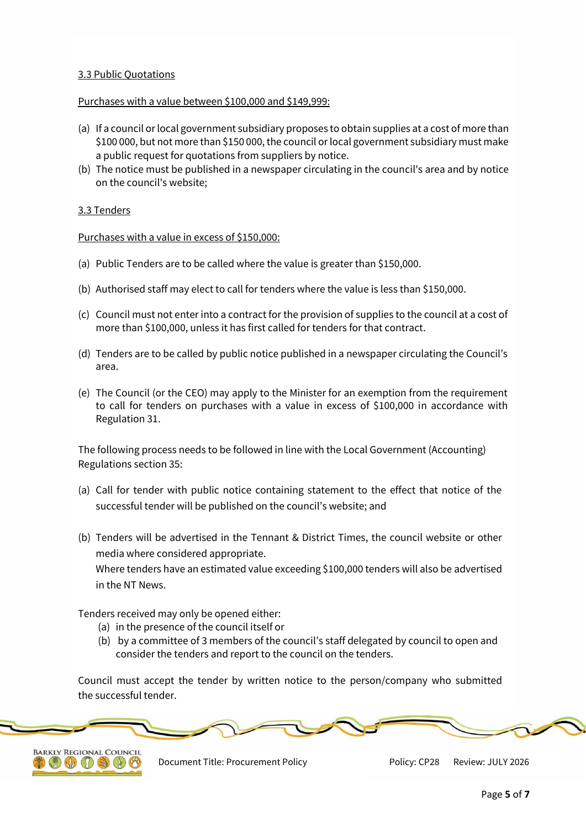### 3.3 Public Quotations

### Purchases with a value between \$100,000 and \$149,999:

- (a) If a council or local government subsidiary proposes to obtain supplies at a cost of more than \$100 000, but not more than \$150 000, the council or local government subsidiary must make a public request for quotations from suppliers by notice.
- (b) The notice must be published in a newspaper circulating in the council's area and by notice on the council's website;

### 3.3 Tenders

Purchases with a value in excess of \$150,000:

- (a) Public Tenders are to be called where the value is greater than \$150,000.
- (b) Authorised staff may elect to call for tenders where the value is less than \$150,000.
- (c) Council must not enter into a contract for the provision of supplies to the council at a cost of more than \$100,000, unless it has first called for tenders for that contract.
- (d) Tenders are to be called by public notice published in a newspaper circulating the Council's area.
- (e) The Council (or the CEO) may apply to the Minister for an exemption from the requirement to call for tenders on purchases with a value in excess of \$100,000 in accordance with Regulation 31.

The following process needs to be followed in line with the Local Government (Accounting) Regulations section 35:

- (a) Call for tender with public notice containing statement to the effect that notice of the successful tender will be published on the council's website; and
- (b) Tenders will be advertised in the Tennant & District Times, the council website or other media where considered appropriate.

Where tenders have an estimated value exceeding \$100,000 tenders will also be advertised in the NT News.

Tenders received may only be opened either:

- (a) in the presence of the council itself or
- (b) by a committee of 3 members of the council's staff delegated by council to open and consider the tenders and report to the council on the tenders.

Council must accept the tender by written notice to the person/company who submitted the successful tender.





Document Title: Procurement Policy Policy: CP28 Review: JULY 2026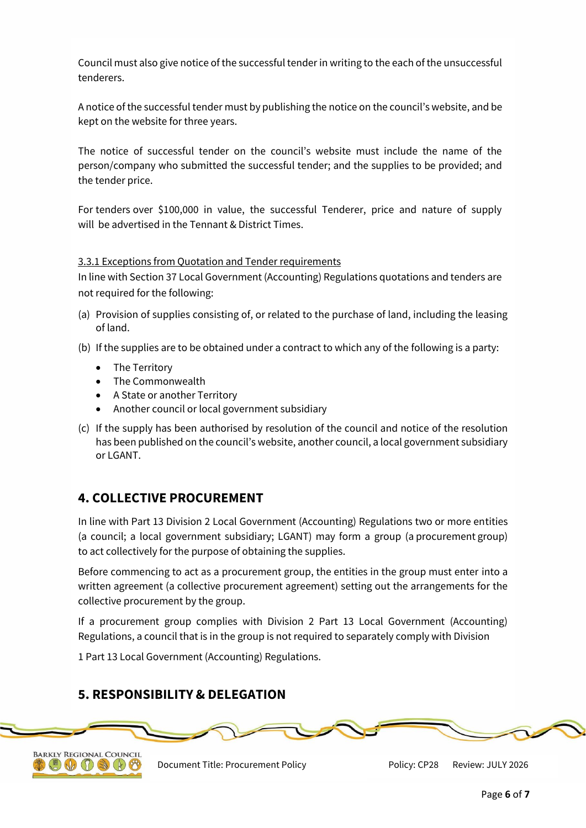Council must also give notice of the successful tender in writing to the each of the unsuccessful tenderers.

A notice of the successful tender must by publishing the notice on the council's website, and be kept on the website for three years.

The notice of successful tender on the council's website must include the name of the person/company who submitted the successful tender; and the supplies to be provided; and the tender price.

For tenders over \$100,000 in value, the successful Tenderer, price and nature of supply will be advertised in the Tennant & District Times.

### 3.3.1 Exceptions from Quotation and Tender requirements

In line with Section 37 Local Government (Accounting) Regulations quotations and tenders are not required for the following:

- (a) Provision of supplies consisting of, or related to the purchase of land, including the leasing of land.
- (b) If the supplies are to be obtained under a contract to which any of the following is a party:
	- The Territory
	- The Commonwealth
	- A State or another Territory
	- Another council or local government subsidiary
- (c) If the supply has been authorised by resolution of the council and notice of the resolution has been published on the council's website, another council, a local government subsidiary or LGANT.

# **4. COLLECTIVE PROCUREMENT**

In line with Part 13 Division 2 Local Government (Accounting) Regulations two or more entities (a council; a local government subsidiary; LGANT) may form a group (a procurement group) to act collectively for the purpose of obtaining the supplies.

Before commencing to act as a procurement group, the entities in the group must enter into a written agreement (a collective procurement agreement) setting out the arrangements for the collective procurement by the group.

If a procurement group complies with Division 2 Part 13 Local Government (Accounting) Regulations, a council that is in the group is not required to separately comply with Division

1 Part 13 Local Government (Accounting) Regulations.

# **5. RESPONSIBILITY & DELEGATION**

 $W$  $\Omega$ 



Document Title: Procurement Policy Policy: CP28 Review: JULY 2026